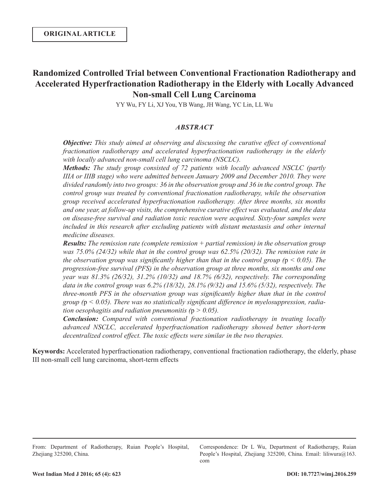# **Randomized Controlled Trial between Conventional Fractionation Radiotherapy and Accelerated Hyperfractionation Radiotherapy in the Elderly with Locally Advanced Non-small Cell Lung Carcinoma**

YY Wu, FY Li, XJ You, YB Wang, JH Wang, YC Lin, LL Wu

# *ABSTRACT*

*Objective: This study aimed at observing and discussing the curative effect of conventional fractionation radiotherapy and accelerated hyperfractionation radiotherapy in the elderly with locally advanced non-small cell lung carcinoma (NSCLC).* 

*Methods: The study group consisted of 72 patients with locally advanced NSCLC (partly IIIA or IIIB stage) who were admitted between January 2009 and December 2010. They were divided randomly into two groups: 36 in the observation group and 36 in the control group. The control group was treated by conventional fractionation radiotherapy, while the observation group received accelerated hyperfractionation radiotherapy. After three months, six months and one year, at follow-up visits, the comprehensive curative effect was evaluated, and the data on disease-free survival and radiation toxic reaction were acquired. Sixty-four samples were included in this research after excluding patients with distant metastasis and other internal medicine diseases.* 

*Results: The remission rate (complete remission + partial remission) in the observation group was 75.0% (24/32) while that in the control group was 62.5% (20/32). The remission rate in the observation group was significantly higher than that in the control group (* $p < 0.05$ *). The progression-free survival (PFS) in the observation group at three months, six months and one year was 81.3% (26/32), 31.2% (10/32) and 18.7% (6/32), respectively. The corresponding data in the control group was 6.2% (18/32), 28.1% (9/32) and 15.6% (5/32), respectively. The three-month PFS in the observation group was significantly higher than that in the control group (*p *< 0.05). There was no statistically significant difference in myelosuppression, radiation oesophagitis and radiation pneumonitis (*p *> 0.05).* 

*Conclusion: Compared with conventional fractionation radiotherapy in treating locally advanced NSCLC, accelerated hyperfractionation radiotherapy showed better short-term decentralized control effect. The toxic effects were similar in the two therapies.* 

**Keywords:** Accelerated hyperfractionation radiotherapy, conventional fractionation radiotherapy, the elderly, phase III non-small cell lung carcinoma, short-term effects

Correspondence: Dr L Wu, Department of Radiotherapy, Ruian People's Hospital, Zhejiang 325200, China. Email: liliwura@163. com

From: Department of Radiotherapy, Ruian People's Hospital, Zhejiang 325200, China.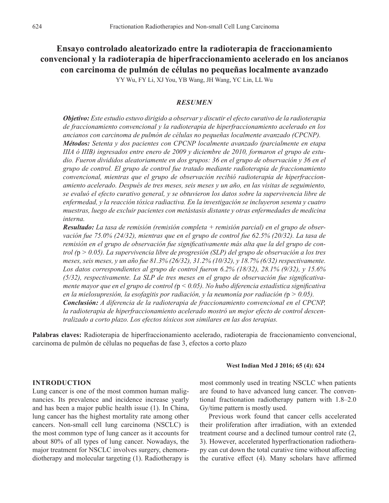**Ensayo controlado aleatorizado entre la radioterapia de fraccionamiento convencional y la radioterapia de hiperfraccionamiento acelerado en los ancianos con carcinoma de pulmón de células no pequeñas localmente avanzado**

YY Wu, FY Li, XJ You, YB Wang, JH Wang, YC Lin, LL Wu

## *RESUMEN*

*Objetivo: Este estudio estuvo dirigido a observar y discutir el efecto curativo de la radioterapia de fraccionamiento convencional y la radioterapia de hiperfraccionamiento acelerado en los ancianos con carcinoma de pulmón de células no pequeñas localmente avanzado (CPCNP). Métodos: Setenta y dos pacientes con CPCNP localmente avanzado (parcialmente en etapa IIIA ó IIIB) ingresados entre enero de 2009 y diciembre de 2010, formaron el grupo de estudio. Fueron divididos aleatoriamente en dos grupos: 36 en el grupo de observación y 36 en el grupo de control. El grupo de control fue tratado mediante radioterapia de fraccionamiento convencional, mientras que el grupo de observación recibió radioterapia de hiperfraccionamiento acelerado. Después de tres meses, seis meses y un año, en las visitas de seguimiento, se evaluó el efecto curativo general, y se obtuvieron los datos sobre la supervivencia libre de enfermedad, y la reacción tóxica radiactiva. En la investigación se incluyeron sesenta y cuatro muestras, luego de excluir pacientes con metástasis distante y otras enfermedades de medicina interna.*

*Resultado: La tasa de remisión (remisión completa + remisión parcial) en el grupo de observación fue 75.0% (24/32), mientras que en el grupo de control fue 62.5% (20/32). La tasa de remisión en el grupo de observación fue significativamente más alta que la del grupo de control (*p *> 0.05). La supervivencia libre de progresión (SLP) del grupo de observación a los tres meses, seis meses, y un año fue 81.3% (26/32), 31.2% (10/32), y 18.7% (6/32) respectivamente. Los datos correspondientes al grupo de control fueron 6.2% (18/32), 28.1% (9/32), y 15.6% (5/32), respectivamente. La SLP de tres meses en el grupo de observación fue significativamente mayor que en el grupo de control (*p *< 0.05). No hubo diferencia estadística significativa en la mielosupresión, la esofagitis por radiación, y la neumonía por radiación (*p *> 0.05). Conclusión: A diferencia de la radioterapia de fraccionamiento convencional en el CPCNP, la radioterapia de hiperfraccionamiento acelerado mostró un mejor efecto de control descentralizado a corto plazo. Los efectos tóxicos son similares en las dos terapias.*

**Palabras claves:** Radioterapia de hiperfraccionamiento acelerado, radioterapia de fraccionamiento convencional, carcinoma de pulmón de células no pequeñas de fase 3, efectos a corto plazo

#### **West Indian Med J 2016; 65 (4): 624**

# **INTRODUCTION**

Lung cancer is one of the most common human malignancies. Its prevalence and incidence increase yearly and has been a major public health issue (1). In China, lung cancer has the highest mortality rate among other cancers. Non-small cell lung carcinoma (NSCLC) is the most common type of lung cancer as it accounts for about 80% of all types of lung cancer. Nowadays, the major treatment for NSCLC involves surgery, chemoradiotherapy and molecular targeting (1). Radiotherapy is

most commonly used in treating NSCLC when patients are found to have advanced lung cancer. The conventional fractionation radiotherapy pattern with 1.8–2.0 Gy/time pattern is mostly used.

Previous work found that cancer cells accelerated their proliferation after irradiation, with an extended treatment course and a declined tumour control rate (2, 3). However, accelerated hyperfractionation radiotherapy can cut down the total curative time without affecting the curative effect (4). Many scholars have affirmed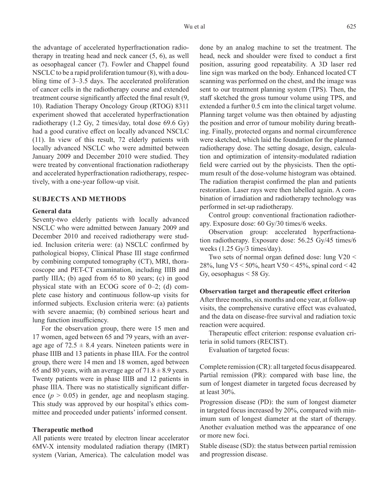the advantage of accelerated hyperfractionation radiotherapy in treating head and neck cancer (5, 6), as well as oesophageal cancer (7). Fowler and Chappel found NSCLC to be a rapid proliferation tumour (8), with a doubling time of 3–3.5 days. The accelerated proliferation of cancer cells in the radiotherapy course and extended treatment course significantly affected the final result (9, 10). Radiation Therapy Oncology Group (RTOG) 8311 experiment showed that accelerated hyperfractionation radiotherapy (1.2 Gy, 2 times/day, total dose 69.6 Gy) had a good curative effect on locally advanced NSCLC (11). In view of this result, 72 elderly patients with locally advanced NSCLC who were admitted between January 2009 and December 2010 were studied. They were treated by conventional fractionation radiotherapy and accelerated hyperfractionation radiotherapy, respectively, with a one-year follow-up visit.

## **SUBJECTS AND METHODS**

## **General data**

Seventy-two elderly patients with locally advanced NSCLC who were admitted between January 2009 and December 2010 and received radiotherapy were studied. Inclusion criteria were: (a) NSCLC confirmed by pathological biopsy, Clinical Phase III stage confirmed by combining computed tomography (CT), MRI, thoracoscope and PET-CT examination, including IIIB and partly IIIA; (b) aged from 65 to 80 years; (c) in good physical state with an ECOG score of 0–2; (d) complete case history and continuous follow-up visits for informed subjects. Exclusion criteria were: (a) patients with severe anaemia; (b) combined serious heart and lung function insufficiency.

For the observation group, there were 15 men and 17 women, aged between 65 and 79 years, with an average age of  $72.5 \pm 8.4$  years. Nineteen patients were in phase IIIB and 13 patients in phase IIIA. For the control group, there were 14 men and 18 women, aged between 65 and 80 years, with an average age of  $71.8 \pm 8.9$  years. Twenty patients were in phase IIIB and 12 patients in phase IIIA. There was no statistically significant difference  $(p > 0.05)$  in gender, age and neoplasm staging. This study was approved by our hospital's ethics committee and proceeded under patients' informed consent.

## **Therapeutic method**

All patients were treated by electron linear accelerator 6MV-X intensity modulated radiation therapy (IMRT) system (Varian, America). The calculation model was done by an analog machine to set the treatment. The head, neck and shoulder were fixed to conduct a first position, assuring good repeatability. A 3D laser red line sign was marked on the body. Enhanced located CT scanning was performed on the chest, and the image was sent to our treatment planning system (TPS). Then, the staff sketched the gross tumour volume using TPS, and extended a further 0.5 cm into the clinical target volume. Planning target volume was then obtained by adjusting the position and error of tumour mobility during breathing. Finally, protected organs and normal circumference were sketched, which laid the foundation for the planned radiotherapy dose. The setting dosage, design, calculation and optimization of intensity-modulated radiation field were carried out by the physicists. Then the optimum result of the dose-volume histogram was obtained. The radiation therapist confirmed the plan and patients restoration. Laser rays were then labelled again. A combination of irradiation and radiotherapy technology was performed in set-up radiotherapy.

Control group: conventional fractionation radiotherapy. Exposure dose: 60 Gy/30 times/6 weeks.

Observation group: accelerated hyperfractionation radiotherapy. Exposure dose: 56.25 Gy/45 times/6 weeks (1.25 Gy/3 times/day).

Two sets of normal organ defined dose: lung V20 < 28%, lung V5 < 50%, heart V50 < 45%, spinal cord < 42 Gy, oesophagus  $\leq$  58 Gy.

#### **Observation target and therapeutic effect criterion**

After three months, six months and one year, at follow-up visits, the comprehensive curative effect was evaluated, and the data on disease-free survival and radiation toxic reaction were acquired.

Therapeutic effect criterion: response evaluation criteria in solid tumors (RECIST).

Evaluation of targeted focus:

Complete remission (CR): all targeted focus disappeared. Partial remission (PR): compared with base line, the sum of longest diameter in targeted focus decreased by at least 30%.

Progression disease (PD): the sum of longest diameter in targeted focus increased by 20%, compared with minimum sum of longest diameter at the start of therapy. Another evaluation method was the appearance of one or more new foci.

Stable disease (SD): the status between partial remission and progression disease.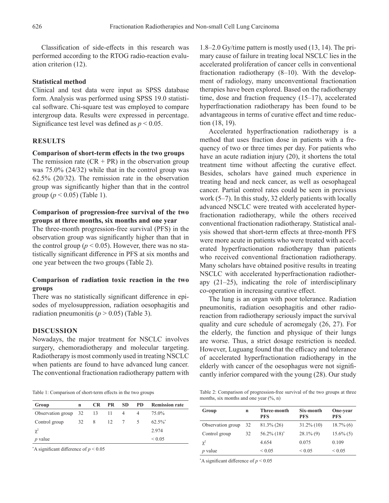Classification of side-effects in this research was performed according to the RTOG radio-reaction evaluation criterion (12).

## **Statistical method**

Clinical and test data were input as SPSS database form. Analysis was performed using SPSS 19.0 statistical software. Chi-square test was employed to compare intergroup data. Results were expressed in percentage. Significance test level was defined as  $p \leq 0.05$ .

# **RESULTS**

## **Comparison of short-term effects in the two groups**

The remission rate  $(CR + PR)$  in the observation group was 75.0% (24/32) while that in the control group was 62.5% (20/32). The remission rate in the observation group was significantly higher than that in the control group (*p* < 0.05) (Table 1).

# **Comparison of progression-free survival of the two groups at three months, six months and one year**

The three-month progression-free survival (PFS) in the observation group was significantly higher than that in the control group ( $p < 0.05$ ). However, there was no statistically significant difference in PFS at six months and one year between the two groups (Table 2).

# **Comparison of radiation toxic reaction in the two groups**

There was no statistically significant difference in episodes of myelosuppression, radiation oesophagitis and radiation pneumonitis ( $p > 0.05$ ) (Table 3).

## **DISCUSSION**

Nowadays, the major treatment for NSCLC involves surgery, chemoradiotherapy and molecular targeting. Radiotherapy is most commonly used in treating NSCLC when patients are found to have advanced lung cancer. The conventional fractionation radiotherapy pattern with

Table 1: Comparison of short-term effects in the two groups

| Group                      | n |      | CR PR | SD             | PD — | <b>Remission rate</b> |
|----------------------------|---|------|-------|----------------|------|-----------------------|
| Observation group 32 13 11 |   |      |       | -4             | 4    | 75.0%                 |
| Control group              |   | 32 8 | 12    | $7\phantom{0}$ | 5    | $62.5\%$ <sup>*</sup> |
| $\chi^2$                   |   |      |       |                |      | 2.974                 |
| $p$ value                  |   |      |       |                |      | ${}_{\leq 0.05}$      |

\* A significant difference of *p* < 0.05

1.8–2.0 Gy/time pattern is mostly used (13, 14). The primary cause of failure in treating local NSCLC lies in the accelerated proliferation of cancer cells in conventional fractionation radiotherapy (8–10). With the development of radiology, many unconventional fractionation therapies have been explored. Based on the radiotherapy time, dose and fraction frequency (15–17), accelerated hyperfractionation radiotherapy has been found to be advantageous in terms of curative effect and time reduction (18, 19).

Accelerated hyperfractionation radiotherapy is a method that uses fraction dose in patients with a frequency of two or three times per day. For patients who have an acute radiation injury (20), it shortens the total treatment time without affecting the curative effect. Besides, scholars have gained much experience in treating head and neck cancer, as well as oesophageal cancer. Partial control rates could be seen in previous work (5–7). In this study, 32 elderly patients with locally advanced NSCLC were treated with accelerated hyperfractionation radiotherapy, while the others received conventional fractionation radiotherapy. Statistical analysis showed that short-term effects at three-month PFS were more acute in patients who were treated with accelerated hyperfractionation radiotherapy than patients who received conventional fractionation radiotherapy. Many scholars have obtained positive results in treating NSCLC with accelerated hyperfractionation radiotherapy (21–25), indicating the role of interdisciplinary co-operation in increasing curative effect.

The lung is an organ with poor tolerance. Radiation pneumonitis, radiation oesophagitis and other radioreaction from radiotherapy seriously impact the survival quality and cure schedule of acromegaly (26, 27). For the elderly, the function and physique of their lungs are worse. Thus, a strict dosage restriction is needed. However, Luguang found that the efficacy and tolerance of accelerated hyperfractionation radiotherapy in the elderly with cancer of the oesophagus were not significantly inferior compared with the young (28). Our study

Table 2: Comparison of progression-free survival of the two groups at three months, six months and one year  $(\%$ , n)

| Group             | n  | Three-month<br><b>PFS</b> | Six-month<br><b>PFS</b> | One-year<br><b>PFS</b> |  |
|-------------------|----|---------------------------|-------------------------|------------------------|--|
| Observation group | 32 | $81.3\%$ (26)             | $31.2\%$ (10)           | $18.7\%$ (6)           |  |
| Control group     | 32 | $56.2\%$ $(18)^*$         | $28.1\%$ (9)            | $15.6\%$ (5)           |  |
| $\chi^2$          |    | 4.654                     | 0.075                   | 0.109                  |  |
| $p$ value         |    | ${}_{0.05}$               | ${}_{0.05}$             | ${}_{0.05}$            |  |

\* A significant difference of *p* < 0.05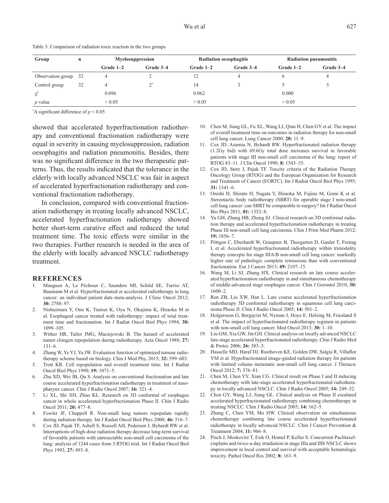| Group                | $\mathbf n$ | Myelosuppression |           |             | <b>Radiation oesophagitis</b> | <b>Radiation pneumonitis</b> |           |
|----------------------|-------------|------------------|-----------|-------------|-------------------------------|------------------------------|-----------|
|                      |             | Grade $1-2$      | Grade 3-4 | Grade $1-2$ | Grade 3-4                     | Grade $1-2$                  | Grade 3-4 |
| Observation group 32 |             | 4                |           | 12          |                               |                              |           |
| Control group        | 32          | 4                | ∩∗        | 14          |                               |                              |           |
| $\chi^2$             |             | 0.096            |           | 0.062       |                               | 0.000                        |           |
| $p$ value            |             | > 0.05           |           | > 0.05      |                               | > 0.05                       |           |

Table 3: Comparison of radiation toxic reaction in the two groups

\* A significant difference of *p* < 0.05

showed that accelerated hyperfractionation radiotherapy and conventional fractionation radiotherapy were equal in severity in causing myelosuppression, radiation oesophagitis and radiation pneumonitis. Besides, there was no significant difference in the two therapeutic patterns. Thus, the results indicated that the tolerance in the elderly with locally advanced NSCLC was fair in aspect of accelerated hyperfractionation radiotherapy and conventional fractionation radiotherapy.

In conclusion, compared with conventional fractionation radiotherapy in treating locally advanced NSCLC, accelerated hyperfractionation radiotherapy showed better short-term curative effect and reduced the total treatment time. The toxic effects were similar in the two therapies. Further research is needed in the area of the elderly with locally advanced NSCLC radiotherapy treatment.

#### **REFERENCES**

- 1. Mauguen A, Le Péchoux C, Saunders MI, Schild SE, Turrisi AT, Baumann M et al. Hyperfractionated or accelerated radiotherapy in lung cancer: an individual patient data meta-analysis. J Clinic Oncol 2012; **30:** 2788–97.
- 2. Nishuimura Y, Ono K, Tsutsui K, Oya N, Okajima K, Hiraoka M et al. Esophageal cancer treated with radiotherapy: impact of total treatment time and fractionation. Int J Radiat Oncol Biol Phys 1994; **30:** 1099–105.
- 3. Wither HR, Tailor JMG, Maciejewski B. The hazard of accelerated tumor clongen repopulation during radiotherapy. Acta Oncol 1988; **27:** 131–6.
- 4. Zhang W, Ye YJ, Yu JW. Evaluation function of optimized tumour radiotherapy scheme based on biology. Chin J Med Phy, 2015; **32:** 599–603.
- 5. Trott KR. Cell repopulation and overall treatment time. Int J Radiat Oncol Biol Phys 1990; **19:** 1071–5.
- 6. Zhu XD, Wei JB, Qu S. Analysis on conventional fractionation and late course accelerated hyperfractionation radiotherapy in treatment of nasopharynx cancer. Chin J Radio Oncol 2007; **16:** 321–4.
- 7. Li XL, Shi XH, Zhao KL. Research on 3D conformal of esophagus cancer in whole accelerated hyperfractionation Phase II. Chin J Radio Oncol 2011; **20:** 477–8.
- 8. Fowler JF, Chappell R. Non-small lung tumors repopulate rapidly during radiation therapy. Int J Radiat Oncol Biol Phys 2000; **46:** 516–7.
- 9. Cox JD, Pajak TF, Asbell S, Russell AH, Pederson J, Byhardt RW et al. Interruptions of high-dose radiation therapy decrease long-term survival of favorable patients with unresectable non-small cell carcinoma of the lung: analysis of 1244 cases from 3 RTOG trial. Int J Radiat Oncol Biol Phys 1993; **27:** 493–8.
- 10. Chen M, Jiang GL, Fu XL, Wang LJ, Qian H, Chen GY et al. The impact of overall treatment time on outcomes in radiation therapy for non-small cell lung cancer. Lung Cancer 2000; **28:** 11–9.
- 11. Cox JD, Azarnia N, Byhardt RW. Hyperfractionated radiation therapy (1.2Gy bid) with 69.6Gy total dose increases survival in favorable patients with stage III non-small cell carcinoma of the lung: report of RTOG 83–11. J Clin Oncol 1990; **8:** 1543–55.
- 12. Cox JD, Stetz J, Pajak TF. Toxcity criteria of the Radiation Therapy Oncology Group (RTOG) and the European Organization for Research and Treatment of Cancer (EORTC). Int J Radiat Oncol Biol Phys 1995; **31:** 1341–6.
- 13. Onishi H, Shirato H, Nagata Y, Hiraoka M, Fujino M, Gomi K et al. Stereotactic body radiotherapy (SBRT) for operable stage I non-small cell lung cancer: can SBRT be comparable to surgery? Int J Radiat Oncol Bio Phys 2011; **81:** 1352–8.
- 14. Yu GH, Zhang HB, Zheng SJ. Clinical research on 3D conformal radiation therapy and accelerated hyperfractionation radiotherapy in treating Phase III non-small cell lung carcinoma. Chin J Prim Med Pharm 2012; **19:** 1856–7.
- 15. Pöttgen C, Eberhardt W, Graupner B, Theegarten D, Gauler T, Freitag L et al. Accelerated hyperfractionated radiotherapy within trimodality therapy concepts for stage IIIA/B non-small cell lung cancer: markedly higher rate of pathologic complete remissions than with conventional fractionation. Eur J Cancer 2013; **49:** 2107–15.
- 16. Wang M, Li SJ, Zhang HX. Clinical research on late course accelerated hyperfractionation radiotherapy in and simultaneous chemotherapy of middle-advanced stage esophagus cancer. Chin J Gerontol 2010; **30:** 1600–2.
- 17. Ren ZB, Liu XW, Han L. Late course accelerated hyperfractionation radiotherapy 3D conformal radiotherapy in squamous cell lung carcinoma Phase II. Chin J Radio Oncol 2005; **14:** 501–2.
- 18. Holgersson G, Bergqvist M, Nyman J, Hoye E, Helsing M, Friesland S et al. The impact of hyperfractionated radiotherapy regimen in patients with non-small cell lung cancer. Med Oncol 2013; **30:** 1–10.
- 19. Liu GM, Xia GW, Jin GH. Clinical analysis on locally advanced NSCLC late-stage accelerated hyperfractionated radiotherapy. Chin J Radio Med & Protec 2006; **26:** 383–5.
- 20. Hasselle MD, Haraf DJ, Rusthoven KE, Golden DW, Salgia R, Villaflor VM et al. Hypofractionated image-guided radiation therapy for patients with limited volume metastatic non-small cell lung cancer. J Thoracic Oncol 2012; **7:** 376–81.
- 21. Chen M, Chen YY, Xian CG. Clinical result on Phase I and II inducing chemotherapy with late-stage accelerated hyperfractionated radiotherapy in locally advanced NSCLC. Chin J Radio Oncol 2005; **14:** 249–52.
- 22. Chen GY, Wang LJ, Jiang GL. Clinical analysis on Phase II escalated accelerated hyperfractionated radiotherapy combining chemotherapy in treating NSCLC. Chin J Radio Oncol 2005; **14:** 162–5.
- 23. Zhang C, Chen YM, Mo HW. Clinical observation on simultaneous chemotherapy combining late course accelerated hyperfractionated radiotherapy in locally advanced NSCLC. Chin J Cancer Prevention & Treatment 2004; **11:** 966–8.
- Pisch J, Moskovitz T, Esik O, Homel P, Keller S. Concurrent Paclitaxelcisplatin and twice-a-day irradiation in stage IIIa and IIIb NSCLC shows improvement in local control and survival with acceptable hematologic toxicity. Pathol Oncol Res 2002; **8:** 163–9.